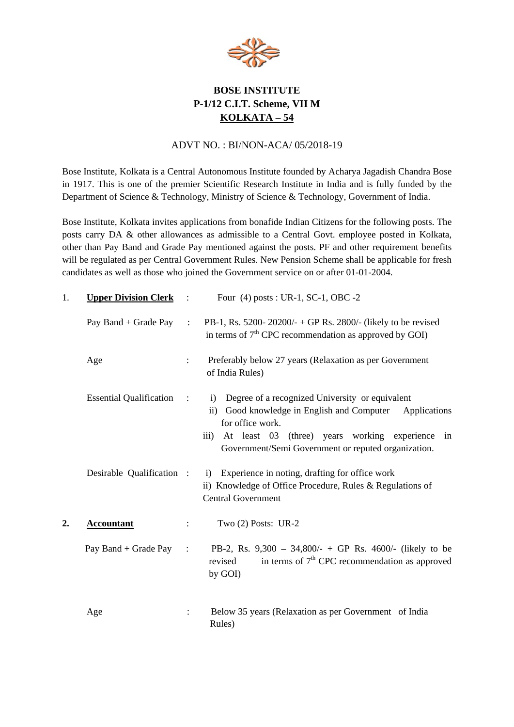

## **BOSE INSTITUTE P-1/12 C.I.T. Scheme, VII M KOLKATA – 54**

## ADVT NO. : BI/NON-ACA/ 05/2018-19

Bose Institute, Kolkata is a Central Autonomous Institute founded by Acharya Jagadish Chandra Bose in 1917. This is one of the premier Scientific Research Institute in India and is fully funded by the Department of Science & Technology, Ministry of Science & Technology, Government of India.

Bose Institute, Kolkata invites applications from bonafide Indian Citizens for the following posts. The posts carry DA & other allowances as admissible to a Central Govt. employee posted in Kolkata, other than Pay Band and Grade Pay mentioned against the posts. PF and other requirement benefits will be regulated as per Central Government Rules. New Pension Scheme shall be applicable for fresh candidates as well as those who joined the Government service on or after 01-01-2004.

| 1.               | <b>Upper Division Clerk</b>    | $\cdot$ :            | Four (4) posts : UR-1, SC-1, OBC -2                                                                                                                                                                                                                                 |
|------------------|--------------------------------|----------------------|---------------------------------------------------------------------------------------------------------------------------------------------------------------------------------------------------------------------------------------------------------------------|
|                  | Pay Band + Grade Pay           | $\ddot{\phantom{a}}$ | PB-1, Rs. 5200-20200/- + GP Rs. 2800/- (likely to be revised<br>in terms of $7th$ CPC recommendation as approved by GOI)                                                                                                                                            |
|                  | Age                            | $\ddot{\phantom{a}}$ | Preferably below 27 years (Relaxation as per Government<br>of India Rules)                                                                                                                                                                                          |
|                  | <b>Essential Qualification</b> | $\cdot$ :            | Degree of a recognized University or equivalent<br>$\mathbf{i}$<br>ii) Good knowledge in English and Computer Applications<br>for office work.<br>At least 03 (three) years working experience<br>iii)<br>in<br>Government/Semi Government or reputed organization. |
|                  | Desirable Qualification :      |                      | i) Experience in noting, drafting for office work<br>ii) Knowledge of Office Procedure, Rules & Regulations of<br><b>Central Government</b>                                                                                                                         |
| $\overline{2}$ . | <b>Accountant</b>              |                      | Two $(2)$ Posts: UR-2                                                                                                                                                                                                                                               |
|                  | Pay Band + Grade Pay           | $\cdot$ :            | PB-2, Rs. 9,300 - 34,800/- + GP Rs. 4600/- (likely to be<br>in terms of $7th$ CPC recommendation as approved<br>revised<br>by GOI)                                                                                                                                  |
|                  | Age                            |                      | Below 35 years (Relaxation as per Government of India<br>Rules)                                                                                                                                                                                                     |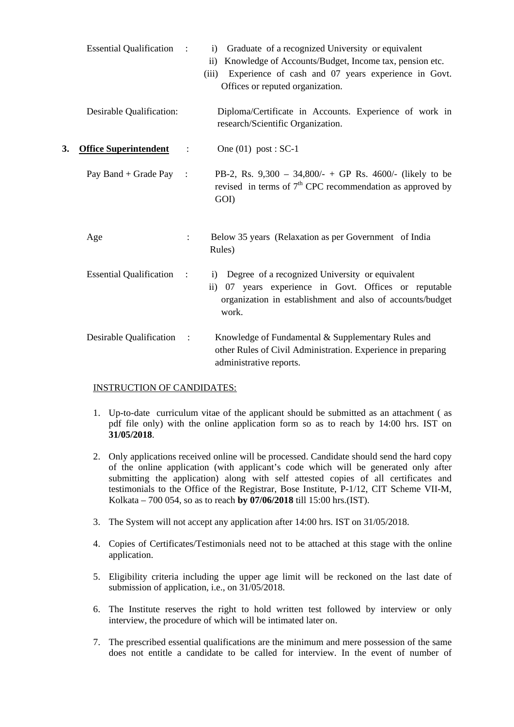|    | <b>Essential Qualification :</b> |                | i) Graduate of a recognized University or equivalent<br>Knowledge of Accounts/Budget, Income tax, pension etc.<br>$\mathbf{ii}$<br>Experience of cash and 07 years experience in Govt.<br>(iii)<br>Offices or reputed organization. |
|----|----------------------------------|----------------|-------------------------------------------------------------------------------------------------------------------------------------------------------------------------------------------------------------------------------------|
|    | Desirable Qualification:         |                | Diploma/Certificate in Accounts. Experience of work in<br>research/Scientific Organization.                                                                                                                                         |
| 3. | <b>Office Superintendent</b>     | $\ddot{\cdot}$ | One $(01)$ post : SC-1                                                                                                                                                                                                              |
|    | Pay Band + Grade Pay :           |                | PB-2, Rs. $9,300 - 34,800/ - + GP$ Rs. 4600/- (likely to be<br>revised in terms of $7th$ CPC recommendation as approved by<br>GOI)                                                                                                  |
|    | Age                              |                | Below 35 years (Relaxation as per Government of India<br>Rules)                                                                                                                                                                     |
|    | <b>Essential Qualification</b>   | $\cdot$ :      | i) Degree of a recognized University or equivalent<br>07 years experience in Govt. Offices or reputable<br>$\rm ii)$<br>organization in establishment and also of accounts/budget<br>work.                                          |
|    | Desirable Qualification          | $\sim$ :       | Knowledge of Fundamental & Supplementary Rules and<br>other Rules of Civil Administration. Experience in preparing<br>administrative reports.                                                                                       |

## INSTRUCTION OF CANDIDATES:

- 1. Up-to-date curriculum vitae of the applicant should be submitted as an attachment ( as pdf file only) with the online application form so as to reach by 14:00 hrs. IST on **31/05/2018**.
- 2. Only applications received online will be processed. Candidate should send the hard copy of the online application (with applicant's code which will be generated only after submitting the application) along with self attested copies of all certificates and testimonials to the Office of the Registrar, Bose Institute, P-1/12, CIT Scheme VII-M, Kolkata – 700 054, so as to reach **by 07/06/2018** till 15:00 hrs.(IST).
- 3. The System will not accept any application after 14:00 hrs. IST on 31/05/2018.
- 4. Copies of Certificates/Testimonials need not to be attached at this stage with the online application.
- 5. Eligibility criteria including the upper age limit will be reckoned on the last date of submission of application, i.e., on 31/05/2018.
- 6. The Institute reserves the right to hold written test followed by interview or only interview, the procedure of which will be intimated later on.
- 7. The prescribed essential qualifications are the minimum and mere possession of the same does not entitle a candidate to be called for interview. In the event of number of